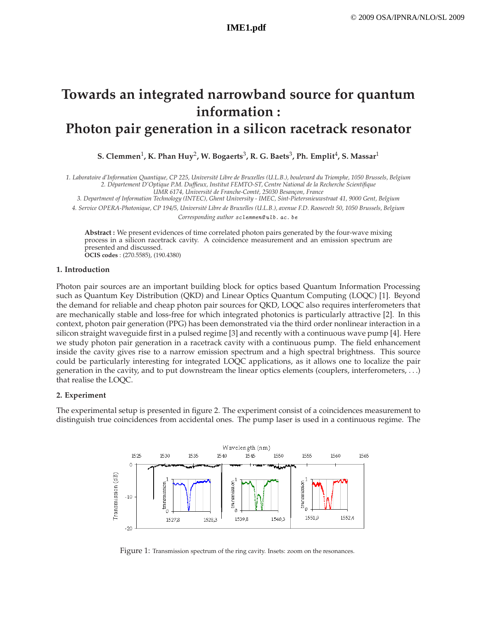# **Towards an integrated narrowband source for quantum information : Photon pair generation in a silicon racetrack resonator**

 $\,$ S. Clemmen $^1$ , K. Phan Huy $^2$ , W. Bogaerts $^3$ , R. G. Baets $^3$ , Ph. Emplit $^4$ , S. Massar $^1$ 

*1. Laboratoire d'Information Quantique, CP 225, Universit´e Libre de Bruxelles (U.L.B.), boulevard du Triomphe, 1050 Brussels, Belgium 2. D´epartement D'Optique P.M. Duffieux, Institut FEMTO-ST, Centre National de la Recherche Scientifique UMR 6174, Universit´e de Franche-Comt´e, 25030 Besan¸con, France*

*3. Department of Information Technology (INTEC), Ghent University - IMEC, Sint-Pietersnieuwstraat 41, 9000 Gent, Belgium*

*4. Service OPERA-Photonique, CP 194/5, Universit´e Libre de Bruxelles (U.L.B.), avenue F.D. Roosevelt 50, 1050 Brussels, Belgium*

*Corresponding author* sclemmen@ ulb. ac. be

**Abstract :** We present evidences of time correlated photon pairs generated by the four-wave mixing process in a silicon racetrack cavity. A coincidence measurement and an emission spectrum are presented and discussed. **OCIS codes** : (270.5585), (190.4380)

### **1. Introduction**

Photon pair sources are an important building block for optics based Quantum Information Processing such as Quantum Key Distribution (QKD) and Linear Optics Quantum Computing (LOQC) [1]. Beyond the demand for reliable and cheap photon pair sources for QKD, LOQC also requires interferometers that are mechanically stable and loss-free for which integrated photonics is particularly attractive [2]. In this context, photon pair generation (PPG) has been demonstrated via the third order nonlinear interaction in a silicon straight waveguide first in a pulsed regime [3] and recently with a continuous wave pump [4]. Here we study photon pair generation in a racetrack cavity with a continuous pump. The field enhancement inside the cavity gives rise to a narrow emission spectrum and a high spectral brightness. This source could be particularly interesting for integrated LOQC applications, as it allows one to localize the pair generation in the cavity, and to put downstream the linear optics elements (couplers, interferometers, . . .) that realise the LOQC.

## **2. Experiment**

The experimental setup is presented in figure 2. The experiment consist of a coincidences measurement to distinguish true coincidences from accidental ones. The pump laser is used in a continuous regime. The



Figure 1: Transmission spectrum of the ring cavity. Insets: zoom on the resonances.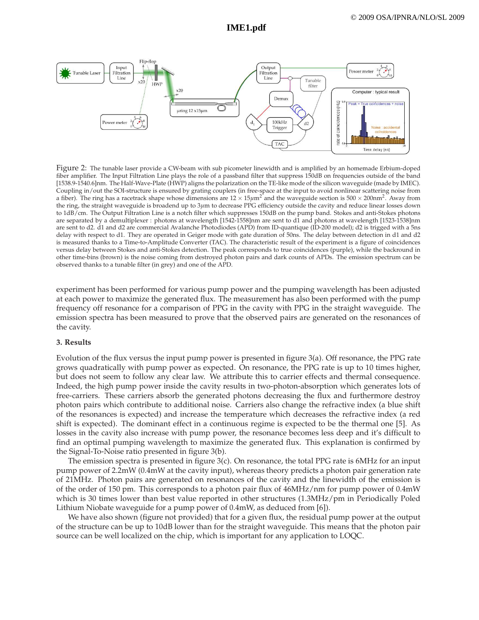

Figure 2: The tunable laser provide a CW-beam with sub picometer linewidth and is amplified by an homemade Erbium-doped fiber amplifier. The Input Filtration Line plays the role of a passband filter that suppress 150dB on frequencies outside of the band [1538.9-1540.6]nm. The Half-Wave-Plate (HWP) aligns the polarization on the TE-like mode of the silicon waveguide (made by IMEC). Coupling in/out the SOI-structure is ensured by grating couplers (in free-space at the input to avoid nonlinear scattering noise from a fiber). The ring has a racetrack shape whose dimensions are  $12 \times 15 \mu m^2$  and the waveguide section is  $500 \times 200$ nm<sup>2</sup>. Away from the ring, the straight waveguide is broadend up to 3*µ*m to decrease PPG efficiency outside the cavity and reduce linear losses down to 1dB/cm. The Output Filtration Line is a notch filter which suppresses 150dB on the pump band. Stokes and anti-Stokes photons are separated by a demultiplexer : photons at wavelength [1542-1558]nm are sent to d1 and photons at wavelength [1523-1538]nm are sent to d2. d1 and d2 are commercial Avalanche Photodiodes (APD) from ID-quantique (ID-200 model); d2 is trigged with a 5ns delay with respect to d1. They are operated in Geiger mode with gate duration of 50ns. The delay between detection in d1 and d2 is measured thanks to a Time-to-Amplitude Converter (TAC). The characteristic result of the experiment is a figure of coincidences versus delay between Stokes and anti-Stokes detection. The peak corresponds to true coincidences (purple), while the backround in other time-bins (brown) is the noise coming from destroyed photon pairs and dark counts of APDs. The emission spectrum can be observed thanks to a tunable filter (in grey) and one of the APD.

experiment has been performed for various pump power and the pumping wavelength has been adjusted at each power to maximize the generated flux. The measurement has also been performed with the pump frequency off resonance for a comparison of PPG in the cavity with PPG in the straight waveguide. The emission spectra has been measured to prove that the observed pairs are generated on the resonances of the cavity.

### **3. Results**

Evolution of the flux versus the input pump power is presented in figure 3(a). Off resonance, the PPG rate grows quadratically with pump power as expected. On resonance, the PPG rate is up to 10 times higher, but does not seem to follow any clear law. We attribute this to carrier effects and thermal consequence. Indeed, the high pump power inside the cavity results in two-photon-absorption which generates lots of free-carriers. These carriers absorb the generated photons decreasing the flux and furthermore destroy photon pairs which contribute to additional noise. Carriers also change the refractive index (a blue shift of the resonances is expected) and increase the temperature which decreases the refractive index (a red shift is expected). The dominant effect in a continuous regime is expected to be the thermal one [5]. As losses in the cavity also increase with pump power, the resonance becomes less deep and it's difficult to find an optimal pumping wavelength to maximize the generated flux. This explanation is confirmed by the Signal-To-Noise ratio presented in figure 3(b).

The emission spectra is presented in figure 3(c). On resonance, the total PPG rate is 6MHz for an input pump power of 2.2mW (0.4mW at the cavity input), whereas theory predicts a photon pair generation rate of 21MHz. Photon pairs are generated on resonances of the cavity and the linewidth of the emission is of the order of 150 pm. This corresponds to a photon pair flux of 46MHz/nm for pump power of 0.4mW which is 30 times lower than best value reported in other structures (1.3MHz/pm in Periodically Poled Lithium Niobate waveguide for a pump power of 0.4mW, as deduced from [6]).

We have also shown (figure not provided) that for a given flux, the residual pump power at the output of the structure can be up to 10dB lower than for the straight waveguide. This means that the photon pair source can be well localized on the chip, which is important for any application to LOQC.